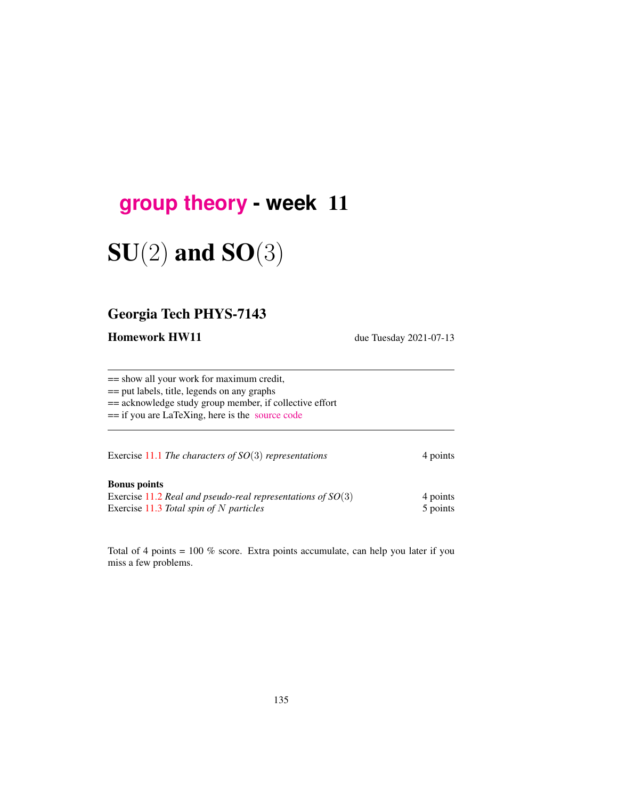## **[group theory](http://birdtracks.eu/course3/schedule.html) - week** 11

# $SU(2)$  and  $SO(3)$

## Georgia Tech PHYS-7143

Homework HW11 due Tuesday 2021-07-13

== show all your work for maximum credit, == put labels, title, legends on any graphs == acknowledge study group member, if collective effort == if you are LaTeXing, here is the [source code](http://birdtracks.eu/course3/exerWeek11.tex) Exercise [11.1](#page-5-0) *The characters of SO*(3) *representations* 4 points

Bonus points Exercise [11.2](#page-5-1) *Real and pseudo-real representations of SO*(3) 4 points Exercise [11.3](#page-5-2) *Total spin of* N *particles* 5 points 5 points

Total of 4 points  $= 100\%$  score. Extra points accumulate, can help you later if you miss a few problems.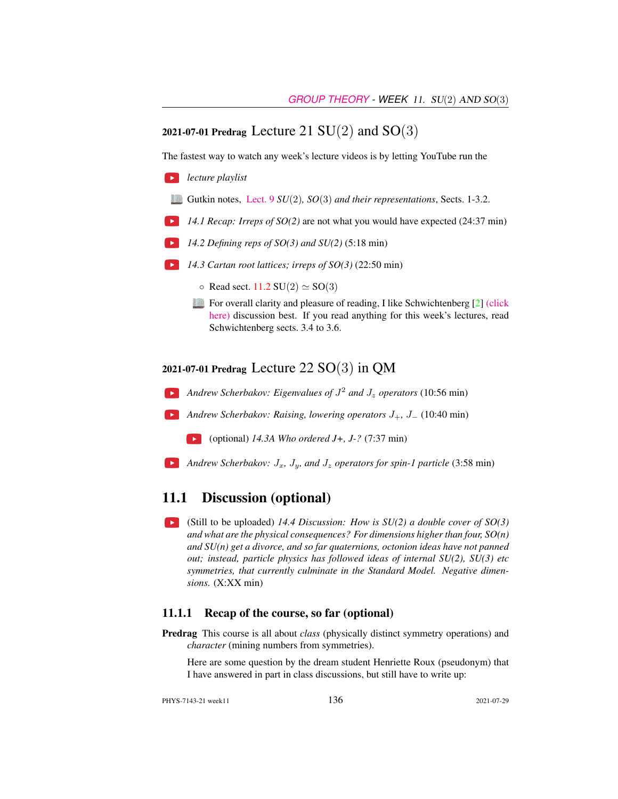## 2021-07-01 Predrag Lecture 21  $SU(2)$  and  $SO(3)$

The fastest way to watch any week's lecture videos is by letting YouTube run the

- *lecture playlist*
	- Gutkin notes, [Lect. 9](http://birdtracks.eu/course3/groups.pdf#chapter.9) *SU*(2)*, SO*(3) *and their representations*, Sects. 1-3.2.
- **14.1 Recap:** Irreps of SO(2) are not what you would have expected (24:37 min)
- *14.2 Defining reps of SO(3) and SU(2)* (5:18 min)
- *14.3 Cartan root lattices; irreps of SO(3)* (22:50 min)
	- $\circ$  Read sect. [11.2](#page-3-0) SU(2)  $\simeq$  SO(3)
	- For overall clarity and pleasure of reading, I like Schwichtenberg [\[2\]](#page-5-3) [\(click](http://ChaosBook.org/library/Schwicht15-2edited.pdf) [here\)](http://ChaosBook.org/library/Schwicht15-2edited.pdf) discussion best. If you read anything for this week's lectures, read Schwichtenberg sects. 3.4 to 3.6.

### 2021-07-01 Predrag Lecture 22  $SO(3)$  in QM

- *Andrew Scherbakov: Eigenvalues of* J <sup>2</sup> *and* J<sup>z</sup> *operators* (10:56 min)
- *Andrew Scherbakov: Raising, lowering operators* J+*,* J<sup>−</sup> (10:40 min)
	- (optional) *14.3A Who ordered J+, J-?* (7:37 min)
- *Andrew Scherbakov:*  $J_x$ ,  $J_y$ , and  $J_z$  *operators for spin-1 particle* (3:58 min)  $\rightarrow$

## 11.1 Discussion (optional)

 $\blacktriangleright$ (Still to be uploaded) *14.4 Discussion: How is SU(2) a double cover of SO(3) and what are the physical consequences? For dimensions higher than four, SO(n) and SU(n) get a divorce, and so far quaternions, octonion ideas have not panned out; instead, particle physics has followed ideas of internal SU(2), SU(3) etc symmetries, that currently culminate in the Standard Model. Negative dimensions.* (X:XX min)

#### 11.1.1 Recap of the course, so far (optional)

Predrag This course is all about *class* (physically distinct symmetry operations) and *character* (mining numbers from symmetries).

Here are some question by the dream student Henriette Roux (pseudonym) that I have answered in part in class discussions, but still have to write up:

PHYS-7143-21 week11 136 2021-07-29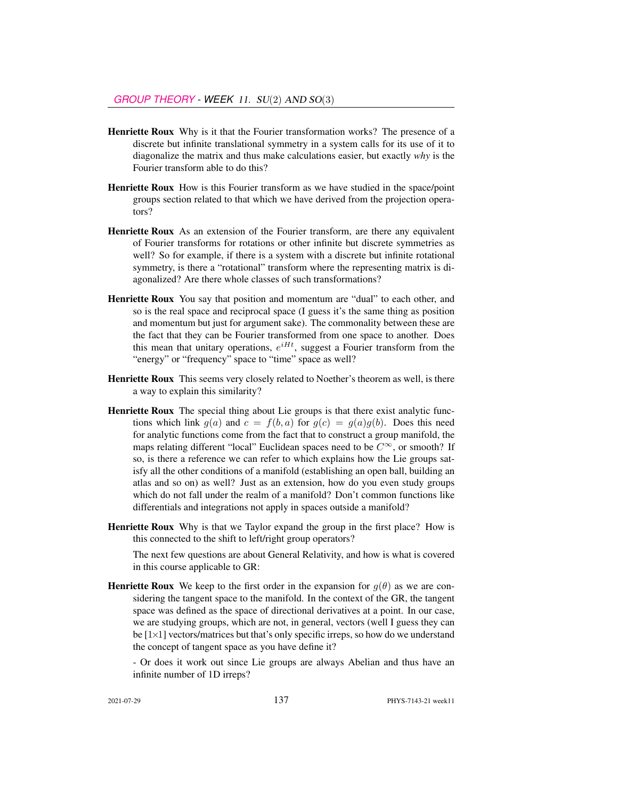- Henriette Roux Why is it that the Fourier transformation works? The presence of a discrete but infinite translational symmetry in a system calls for its use of it to diagonalize the matrix and thus make calculations easier, but exactly *why* is the Fourier transform able to do this?
- Henriette Roux How is this Fourier transform as we have studied in the space/point groups section related to that which we have derived from the projection operators?
- Henriette Roux As an extension of the Fourier transform, are there any equivalent of Fourier transforms for rotations or other infinite but discrete symmetries as well? So for example, if there is a system with a discrete but infinite rotational symmetry, is there a "rotational" transform where the representing matrix is diagonalized? Are there whole classes of such transformations?
- Henriette Roux You say that position and momentum are "dual" to each other, and so is the real space and reciprocal space (I guess it's the same thing as position and momentum but just for argument sake). The commonality between these are the fact that they can be Fourier transformed from one space to another. Does this mean that unitary operations,  $e^{iHt}$ , suggest a Fourier transform from the "energy" or "frequency" space to "time" space as well?
- Henriette Roux This seems very closely related to Noether's theorem as well, is there a way to explain this similarity?
- Henriette Roux The special thing about Lie groups is that there exist analytic functions which link  $q(a)$  and  $c = f(b, a)$  for  $q(c) = q(a)q(b)$ . Does this need for analytic functions come from the fact that to construct a group manifold, the maps relating different "local" Euclidean spaces need to be  $C^{\infty}$ , or smooth? If so, is there a reference we can refer to which explains how the Lie groups satisfy all the other conditions of a manifold (establishing an open ball, building an atlas and so on) as well? Just as an extension, how do you even study groups which do not fall under the realm of a manifold? Don't common functions like differentials and integrations not apply in spaces outside a manifold?
- Henriette Roux Why is that we Taylor expand the group in the first place? How is this connected to the shift to left/right group operators?

The next few questions are about General Relativity, and how is what is covered in this course applicable to GR:

- **Henriette Roux** We keep to the first order in the expansion for  $q(\theta)$  as we are considering the tangent space to the manifold. In the context of the GR, the tangent space was defined as the space of directional derivatives at a point. In our case, we are studying groups, which are not, in general, vectors (well I guess they can be  $[1 \times 1]$  vectors/matrices but that's only specific irreps, so how do we understand the concept of tangent space as you have define it?
	- Or does it work out since Lie groups are always Abelian and thus have an infinite number of 1D irreps?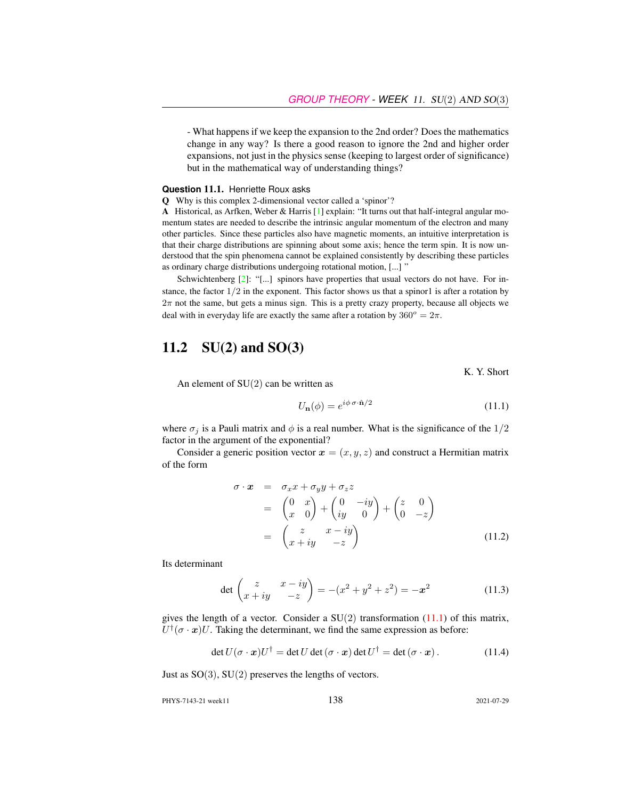- What happens if we keep the expansion to the 2nd order? Does the mathematics change in any way? Is there a good reason to ignore the 2nd and higher order expansions, not just in the physics sense (keeping to largest order of significance) but in the mathematical way of understanding things?

#### **Question** 11.1. Henriette Roux asks

Q Why is this complex 2-dimensional vector called a 'spinor'?

A Historical, as Arfken, Weber & Harris [\[1\]](#page-5-4) explain: "It turns out that half-integral angular momentum states are needed to describe the intrinsic angular momentum of the electron and many other particles. Since these particles also have magnetic moments, an intuitive interpretation is that their charge distributions are spinning about some axis; hence the term spin. It is now understood that the spin phenomena cannot be explained consistently by describing these particles as ordinary charge distributions undergoing rotational motion, [...] "

Schwichtenberg [\[2\]](#page-5-3): "[...] spinors have properties that usual vectors do not have. For instance, the factor  $1/2$  in the exponent. This factor shows us that a spinor1 is after a rotation by  $2\pi$  not the same, but gets a minus sign. This is a pretty crazy property, because all objects we deal with in everyday life are exactly the same after a rotation by  $360^{\circ} = 2\pi$ .

## <span id="page-3-0"></span>11.2  $SU(2)$  and  $SO(3)$

K. Y. Short

An element of  $SU(2)$  can be written as

<span id="page-3-1"></span>
$$
U_{\mathbf{n}}(\phi) = e^{i\phi \,\sigma \cdot \hat{\mathbf{n}}/2} \tag{11.1}
$$

where  $\sigma_i$  is a Pauli matrix and  $\phi$  is a real number. What is the significance of the 1/2 factor in the argument of the exponential?

Consider a generic position vector  $x = (x, y, z)$  and construct a Hermitian matrix of the form

$$
\begin{array}{rcl}\n\sigma \cdot \boldsymbol{x} & = & \sigma_x x + \sigma_y y + \sigma_z z \\
& = & \begin{pmatrix} 0 & x \\ x & 0 \end{pmatrix} + \begin{pmatrix} 0 & -iy \\ iy & 0 \end{pmatrix} + \begin{pmatrix} z & 0 \\ 0 & -z \end{pmatrix} \\
& = & \begin{pmatrix} z & x - iy \\ x + iy & -z \end{pmatrix}\n\end{array} \tag{11.2}
$$

Its determinant

$$
\det \begin{pmatrix} z & x - iy \\ x + iy & -z \end{pmatrix} = -(x^2 + y^2 + z^2) = -x^2 \tag{11.3}
$$

gives the length of a vector. Consider a  $SU(2)$  transformation  $(11.1)$  of this matrix,  $U^{\dagger}(\sigma \cdot \mathbf{x})U$ . Taking the determinant, we find the same expression as before:

$$
\det U(\sigma \cdot \mathbf{x})U^{\dagger} = \det U \det (\sigma \cdot \mathbf{x}) \det U^{\dagger} = \det (\sigma \cdot \mathbf{x}). \tag{11.4}
$$

Just as  $SO(3)$ ,  $SU(2)$  preserves the lengths of vectors.

PHYS-7143-21 week11 138 2021-07-29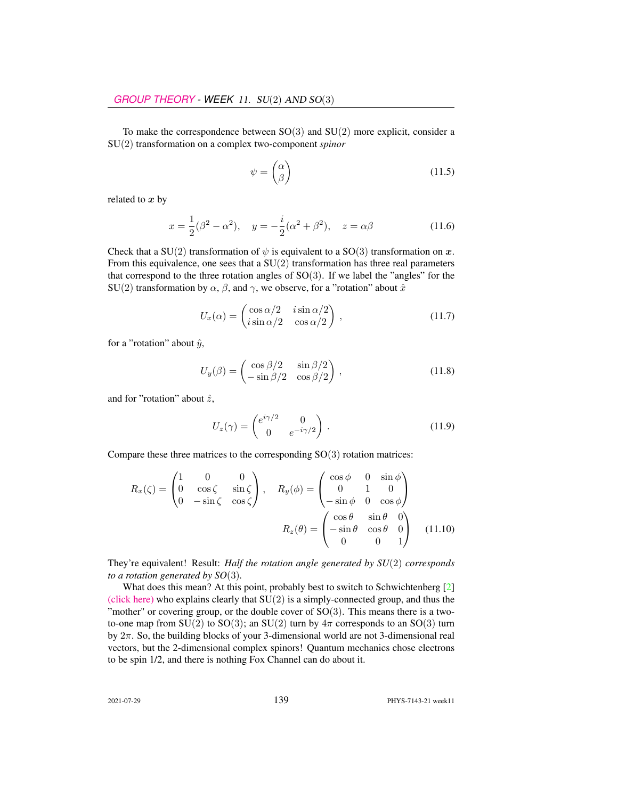To make the correspondence between  $SO(3)$  and  $SU(2)$  more explicit, consider a SU(2) transformation on a complex two-component *spinor*

$$
\psi = \begin{pmatrix} \alpha \\ \beta \end{pmatrix} \tag{11.5}
$$

related to  $x$  by

$$
x = \frac{1}{2}(\beta^2 - \alpha^2), \quad y = -\frac{i}{2}(\alpha^2 + \beta^2), \quad z = \alpha\beta
$$
 (11.6)

Check that a SU(2) transformation of  $\psi$  is equivalent to a SO(3) transformation on x. From this equivalence, one sees that a  $SU(2)$  transformation has three real parameters that correspond to the three rotation angles of  $SO(3)$ . If we label the "angles" for the SU(2) transformation by  $\alpha$ ,  $\beta$ , and  $\gamma$ , we observe, for a "rotation" about  $\hat{x}$ 

$$
U_x(\alpha) = \begin{pmatrix} \cos \alpha/2 & i \sin \alpha/2 \\ i \sin \alpha/2 & \cos \alpha/2 \end{pmatrix},
$$
 (11.7)

for a "rotation" about  $\hat{y}$ ,

$$
U_y(\beta) = \begin{pmatrix} \cos \beta/2 & \sin \beta/2 \\ -\sin \beta/2 & \cos \beta/2 \end{pmatrix},
$$
 (11.8)

and for "rotation" about  $\hat{z}$ ,

$$
U_z(\gamma) = \begin{pmatrix} e^{i\gamma/2} & 0\\ 0 & e^{-i\gamma/2} \end{pmatrix} .
$$
 (11.9)

Compare these three matrices to the corresponding  $SO(3)$  rotation matrices:

$$
R_x(\zeta) = \begin{pmatrix} 1 & 0 & 0 \\ 0 & \cos \zeta & \sin \zeta \\ 0 & -\sin \zeta & \cos \zeta \end{pmatrix}, \quad R_y(\phi) = \begin{pmatrix} \cos \phi & 0 & \sin \phi \\ 0 & 1 & 0 \\ -\sin \phi & 0 & \cos \phi \end{pmatrix}
$$

$$
R_z(\theta) = \begin{pmatrix} \cos \theta & \sin \theta & 0 \\ -\sin \theta & \cos \theta & 0 \\ 0 & 0 & 1 \end{pmatrix}
$$
(11.10)

They're equivalent! Result: *Half the rotation angle generated by SU*(2) *corresponds to a rotation generated by SO*(3)*.*

What does this mean? At this point, probably best to switch to Schwichtenberg [\[2\]](#page-5-3) [\(click here\)](http://ChaosBook.org/library/Schwicht15-2edited.pdf) who explains clearly that  $SU(2)$  is a simply-connected group, and thus the "mother" or covering group, or the double cover of  $SO(3)$ . This means there is a twoto-one map from SU(2) to SO(3); an SU(2) turn by  $4\pi$  corresponds to an SO(3) turn by  $2\pi$ . So, the building blocks of your 3-dimensional world are not 3-dimensional real vectors, but the 2-dimensional complex spinors! Quantum mechanics chose electrons to be spin 1/2, and there is nothing Fox Channel can do about it.

2021-07-29 139 PHYS-7143-21 week11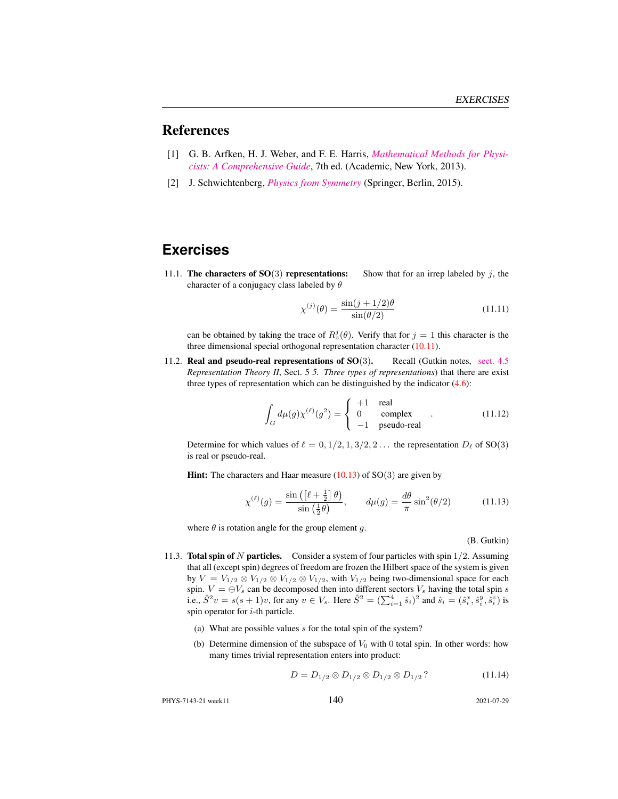## References

- <span id="page-5-4"></span>[1] G. B. Arfken, H. J. Weber, and F. E. Harris, *[Mathematical Methods for Physi](http://books.google.com/books?vid=ISBN9780123846549)[cists: A Comprehensive Guide](http://books.google.com/books?vid=ISBN9780123846549)*, 7th ed. (Academic, New York, 2013).
- <span id="page-5-3"></span>[2] J. Schwichtenberg, *[Physics from Symmetry](http://dx.doi.org/10.1007/978-3-319-19201-7)* (Springer, Berlin, 2015).

## **Exercises**

<span id="page-5-0"></span>11.1. The characters of  $SO(3)$  representations: Show that for an irrep labeled by j, the character of a conjugacy class labeled by  $\theta$ 

$$
\chi^{(j)}(\theta) = \frac{\sin(j + 1/2)\theta}{\sin(\theta/2)}
$$
(11.11)

can be obtained by taking the trace of  $R_z^j(\theta)$ . Verify that for  $j = 1$  this character is the three dimensional special orthogonal representation character (10.11).

<span id="page-5-1"></span>11.2. Real and pseudo-real representations of SO(3). Recall (Gutkin notes, [sect. 4.5](http://birdtracks.eu/course3/groups.pdf#section.4.5) *Representation Theory II*, Sect. 5 *5. Three types of representations*) that there are exist three types of representation which can be distinguished by the indicator (4.6):

$$
\int_{G} d\mu(g) \chi^{(\ell)}(g^2) = \begin{cases}\n+1 & \text{real} \\
0 & \text{complex} \\
-1 & \text{pseudo-real}\n\end{cases}
$$
\n(11.12)

Determine for which values of  $\ell = 0, 1/2, 1, 3/2, 2...$  the representation  $D_{\ell}$  of SO(3) is real or pseudo-real.

**Hint:** The characters and Haar measure  $(10.13)$  of SO $(3)$  are given by

<span id="page-5-5"></span>
$$
\chi^{(\ell)}(g) = \frac{\sin\left(\left[\ell + \frac{1}{2}\right]\theta\right)}{\sin\left(\frac{1}{2}\theta\right)}, \qquad d\mu(g) = \frac{d\theta}{\pi}\sin^2(\theta/2) \tag{11.13}
$$

where  $\theta$  is rotation angle for the group element g.

#### (B. Gutkin)

- <span id="page-5-2"></span>11.3. **Total spin of N particles.** Consider a system of four particles with spin  $1/2$ . Assuming that all (except spin) degrees of freedom are frozen the Hilbert space of the system is given by  $V = V_{1/2} \otimes V_{1/2} \otimes V_{1/2} \otimes V_{1/2}$ , with  $V_{1/2}$  being two-dimensional space for each spin.  $V = \bigoplus V_s$  can be decomposed then into different sectors  $V_s$  having the total spin s i.e.,  $\hat{S}^2 v = s(s+1)v$ , for any  $v \in V_s$ . Here  $\hat{S}^2 = (\sum_{i=1}^4 \hat{s}_i)^2$  and  $\hat{s}_i = (\hat{s}_i^x, \hat{s}_i^y, \hat{s}_i^z)$  is spin operator for  $i$ -th particle.
	- (a) What are possible values  $s$  for the total spin of the system?
	- (b) Determine dimension of the subspace of  $V_0$  with 0 total spin. In other words: how many times trivial representation enters into product:

$$
D = D_{1/2} \otimes D_{1/2} \otimes D_{1/2} \otimes D_{1/2} ? \tag{11.14}
$$

PHYS-7143-21 week11 140 2021-07-29